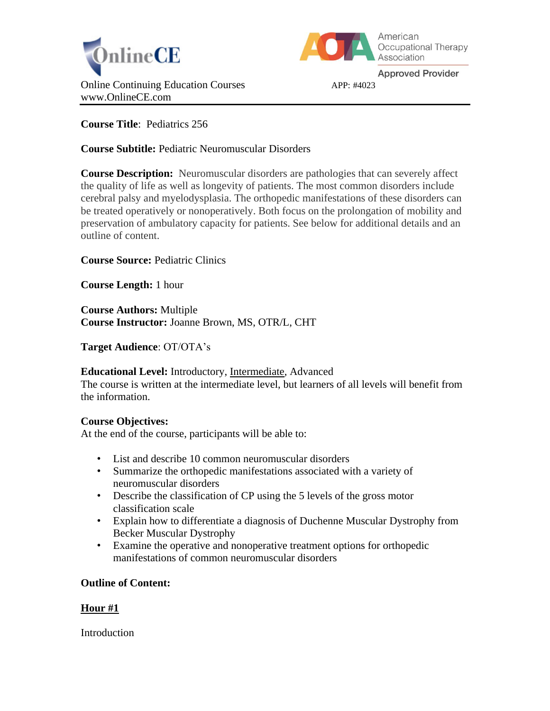



**Approved Provider** 

**Course Title**: Pediatrics 256

**Course Subtitle:** Pediatric Neuromuscular Disorders

**Course Description:** Neuromuscular disorders are pathologies that can severely affect the quality of life as well as longevity of patients. The most common disorders include cerebral palsy and myelodysplasia. The orthopedic manifestations of these disorders can be treated operatively or nonoperatively. Both focus on the prolongation of mobility and preservation of ambulatory capacity for patients. See below for additional details and an outline of content.

**Course Source:** Pediatric Clinics

**Course Length:** 1 hour

**Course Authors:** Multiple **Course Instructor:** Joanne Brown, MS, OTR/L, CHT

**Target Audience**: OT/OTA's

**Educational Level:** Introductory, Intermediate, Advanced

The course is written at the intermediate level, but learners of all levels will benefit from the information.

# **Course Objectives:**

At the end of the course, participants will be able to:

- List and describe 10 common neuromuscular disorders
- Summarize the orthopedic manifestations associated with a variety of neuromuscular disorders
- Describe the classification of CP using the 5 levels of the gross motor classification scale
- Explain how to differentiate a diagnosis of Duchenne Muscular Dystrophy from Becker Muscular Dystrophy
- Examine the operative and nonoperative treatment options for orthopedic manifestations of common neuromuscular disorders

# **Outline of Content:**

# **Hour #1**

Introduction